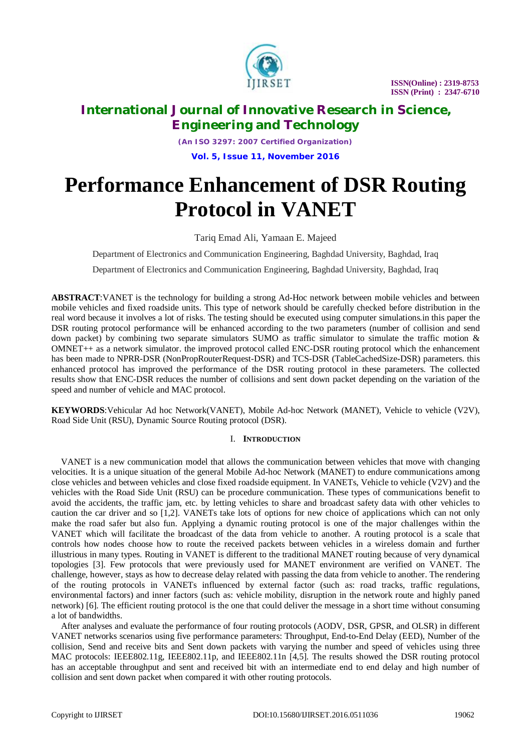

# **International Journal of Innovative Research in Science, Engineering and Technology**

*(An ISO 3297: 2007 Certified Organization)* **Vol. 5, Issue 11, November 2016**

# **Performance Enhancement of DSR Routing Protocol in VANET**

### Tariq Emad Ali, Yamaan E. Majeed

Department of Electronics and Communication Engineering, Baghdad University, Baghdad, Iraq

Department of Electronics and Communication Engineering, Baghdad University, Baghdad, Iraq

**ABSTRACT**:VANET is the technology for building a strong Ad-Hoc network between mobile vehicles and between mobile vehicles and fixed roadside units. This type of network should be carefully checked before distribution in the real word because it involves a lot of risks. The testing should be executed using computer simulations.in this paper the DSR routing protocol performance will be enhanced according to the two parameters (number of collision and send down packet) by combining two separate simulators SUMO as traffic simulator to simulate the traffic motion  $\&$ OMNET++ as a network simulator. the improved protocol called ENC-DSR routing protocol which the enhancement has been made to NPRR-DSR (NonPropRouterRequest-DSR) and TCS-DSR (TableCachedSize-DSR) parameters. this enhanced protocol has improved the performance of the DSR routing protocol in these parameters. The collected results show that ENC-DSR reduces the number of collisions and sent down packet depending on the variation of the speed and number of vehicle and MAC protocol.

**KEYWORDS**:Vehicular Ad hoc Network(VANET), Mobile Ad-hoc Network (MANET), Vehicle to vehicle (V2V), Road Side Unit (RSU), Dynamic Source Routing protocol (DSR).

### I. **INTRODUCTION**

VANET is a new communication model that allows the communication between vehicles that move with changing velocities. It is a unique situation of the general Mobile Ad-hoc Network (MANET) to endure communications among close vehicles and between vehicles and close fixed roadside equipment. In VANETs, Vehicle to vehicle (V2V) and the vehicles with the Road Side Unit (RSU) can be procedure communication. These types of communications benefit to avoid the accidents, the traffic jam, etc. by letting vehicles to share and broadcast safety data with other vehicles to caution the car driver and so [1,2]. VANETs take lots of options for new choice of applications which can not only make the road safer but also fun. Applying a dynamic routing protocol is one of the major challenges within the VANET which will facilitate the broadcast of the data from vehicle to another. A routing protocol is a scale that controls how nodes choose how to route the received packets between vehicles in a wireless domain and further illustrious in many types. Routing in VANET is different to the traditional MANET routing because of very dynamical topologies [3]. Few protocols that were previously used for MANET environment are verified on VANET. The challenge, however, stays as how to decrease delay related with passing the data from vehicle to another. The rendering of the routing protocols in VANETs influenced by external factor (such as: road tracks, traffic regulations, environmental factors) and inner factors (such as: vehicle mobility, disruption in the network route and highly paned network) [6]. The efficient routing protocol is the one that could deliver the message in a short time without consuming a lot of bandwidths.

After analyses and evaluate the performance of four routing protocols (AODV, DSR, GPSR, and OLSR) in different VANET networks scenarios using five performance parameters: Throughput, End-to-End Delay (EED), Number of the collision, Send and receive bits and Sent down packets with varying the number and speed of vehicles using three MAC protocols: IEEE802.11g, IEEE802.11p, and IEEE802.11n [4,5]. The results showed the DSR routing protocol has an acceptable throughput and sent and received bit with an intermediate end to end delay and high number of collision and sent down packet when compared it with other routing protocols.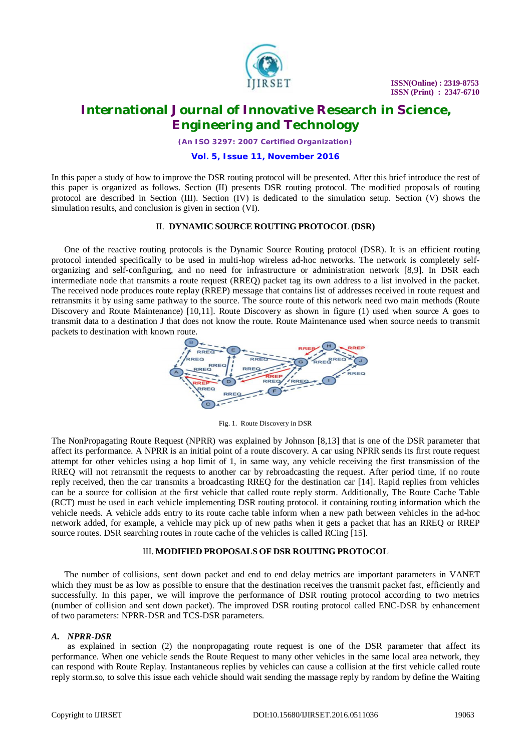

### **International Journal of Innovative Research in Science, Engineering and Technology**

*(An ISO 3297: 2007 Certified Organization)*

#### **Vol. 5, Issue 11, November 2016**

In this paper a study of how to improve the DSR routing protocol will be presented. After this brief introduce the rest of this paper is organized as follows. Section (II) presents DSR routing protocol. The modified proposals of routing protocol are described in Section (III). Section (IV) is dedicated to the simulation setup. Section (V) shows the simulation results, and conclusion is given in section (VI).

### II. **DYNAMIC SOURCE ROUTING PROTOCOL (DSR)**

One of the reactive routing protocols is the Dynamic Source Routing protocol (DSR). It is an efficient routing protocol intended specifically to be used in multi-hop wireless ad-hoc networks. The network is completely selforganizing and self-configuring, and no need for infrastructure or administration network [8,9]. In DSR each intermediate node that transmits a route request (RREQ) packet tag its own address to a list involved in the packet. The received node produces route replay (RREP) message that contains list of addresses received in route request and retransmits it by using same pathway to the source. The source route of this network need two main methods (Route Discovery and Route Maintenance) [10,11]. Route Discovery as shown in figure (1) used when source A goes to transmit data to a destination J that does not know the route. Route Maintenance used when source needs to transmit packets to destination with known route.



Fig. 1. Route Discovery in DSR

The NonPropagating Route Request (NPRR) was explained by Johnson [8,13] that is one of the DSR parameter that affect its performance. A NPRR is an initial point of a route discovery. A car using NPRR sends its first route request attempt for other vehicles using a hop limit of 1, in same way, any vehicle receiving the first transmission of the RREQ will not retransmit the requests to another car by rebroadcasting the request. After period time, if no route reply received, then the car transmits a broadcasting RREQ for the destination car [14]. Rapid replies from vehicles can be a source for collision at the first vehicle that called route reply storm. Additionally, The Route Cache Table (RCT) must be used in each vehicle implementing DSR routing protocol. it containing routing information which the vehicle needs. A vehicle adds entry to its route cache table inform when a new path between vehicles in the ad-hoc network added, for example, a vehicle may pick up of new paths when it gets a packet that has an RREQ or RREP source routes. DSR searching routes in route cache of the vehicles is called RCing [15].

#### III. **MODIFIED PROPOSALS OF DSR ROUTING PROTOCOL**

The number of collisions, sent down packet and end to end delay metrics are important parameters in VANET which they must be as low as possible to ensure that the destination receives the transmit packet fast, efficiently and successfully. In this paper, we will improve the performance of DSR routing protocol according to two metrics (number of collision and sent down packet). The improved DSR routing protocol called ENC-DSR by enhancement of two parameters: NPRR-DSR and TCS-DSR parameters.

#### *A. NPRR-DSR*

as explained in section (2) the nonpropagating route request is one of the DSR parameter that affect its performance. When one vehicle sends the Route Request to many other vehicles in the same local area network, they can respond with Route Replay. Instantaneous replies by vehicles can cause a collision at the first vehicle called route reply storm.so, to solve this issue each vehicle should wait sending the massage reply by random by define the Waiting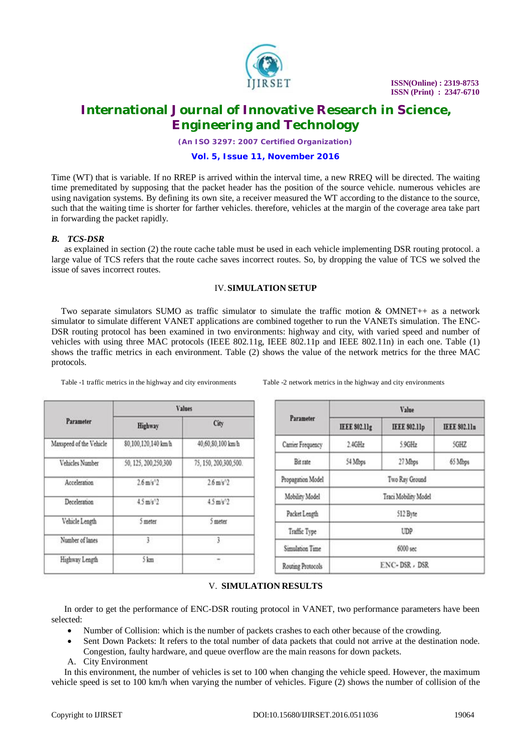

# **International Journal of Innovative Research in Science, Engineering and Technology**

*(An ISO 3297: 2007 Certified Organization)*

#### **Vol. 5, Issue 11, November 2016**

Time (WT) that is variable. If no RREP is arrived within the interval time, a new RREQ will be directed. The waiting time premeditated by supposing that the packet header has the position of the source vehicle. numerous vehicles are using navigation systems. By defining its own site, a receiver measured the WT according to the distance to the source, such that the waiting time is shorter for farther vehicles. therefore, vehicles at the margin of the coverage area take part in forwarding the packet rapidly.

### *B. TCS-DSR*

as explained in section (2) the route cache table must be used in each vehicle implementing DSR routing protocol. a large value of TCS refers that the route cache saves incorrect routes. So, by dropping the value of TCS we solved the issue of saves incorrect routes.

#### IV.**SIMULATION SETUP**

Two separate simulators SUMO as traffic simulator to simulate the traffic motion & OMNET++ as a network simulator to simulate different VANET applications are combined together to run the VANETs simulation. The ENC-DSR routing protocol has been examined in two environments: highway and city, with varied speed and number of vehicles with using three MAC protocols (IEEE 802.11g, IEEE 802.11p and IEEE 802.11n) in each one. Table (1) shows the traffic metrics in each environment. Table (2) shows the value of the network metrics for the three MAC protocols.

| Parameter               | <b>Values</b>                  |                               |  |
|-------------------------|--------------------------------|-------------------------------|--|
|                         | Highway                        | City                          |  |
| Maxspeed of the Vehicle | 80,100,120,140 km/h            | 40,60,80,100 km/h             |  |
| Vehicles Number         | 50, 125, 200, 250, 300         | 75, 150, 200, 300, 500.       |  |
| Acceleration            | $2.6 \text{ m/s}$ <sup>2</sup> | $2.6$ m/s $'2$                |  |
| Deceleration            | $4.5 \text{ m/s}^2$            | $45 \text{ m/s}$ <sup>2</sup> |  |
| Vehicle Length          | 5 meter                        | 5 meter                       |  |
| Number of lanes         | 3                              | 3                             |  |
| Highway Length          | 5 km                           |                               |  |

Table -1 traffic metrics in the highway and city environments Table -2 network metrics in the highway and city environments

| Parameter         | Value                |                      |                      |  |
|-------------------|----------------------|----------------------|----------------------|--|
|                   | <b>IEEE \$02.11g</b> | <b>IEEE \$02.11p</b> | <b>IEEE \$02.11n</b> |  |
| Carrier Frequency | 2.4GHz               | 5.9GHz               | SGHZ                 |  |
| Bit rate          | 54 Mbps              | 27 Mbps              | 65 Mbps              |  |
| Propagation Model | Two Ray Ground       |                      |                      |  |
| Mobility Model    | Traci Mobility Model |                      |                      |  |
| Packet Length     | 512 Byte             |                      |                      |  |
| Traffic Type      | <b>UDP</b>           |                      |                      |  |
| Simulation Time   | 6000 sec             |                      |                      |  |
| Routing Protocols | ENC-DSR, DSR         |                      |                      |  |

### V. **SIMULATION RESULTS**

In order to get the performance of ENC-DSR routing protocol in VANET, two performance parameters have been selected:

- Number of Collision: which is the number of packets crashes to each other because of the crowding.
- Sent Down Packets: It refers to the total number of data packets that could not arrive at the destination node. Congestion, faulty hardware, and queue overflow are the main reasons for down packets.
- A. City Environment

In this environment, the number of vehicles is set to 100 when changing the vehicle speed. However, the maximum vehicle speed is set to 100 km/h when varying the number of vehicles. Figure (2) shows the number of collision of the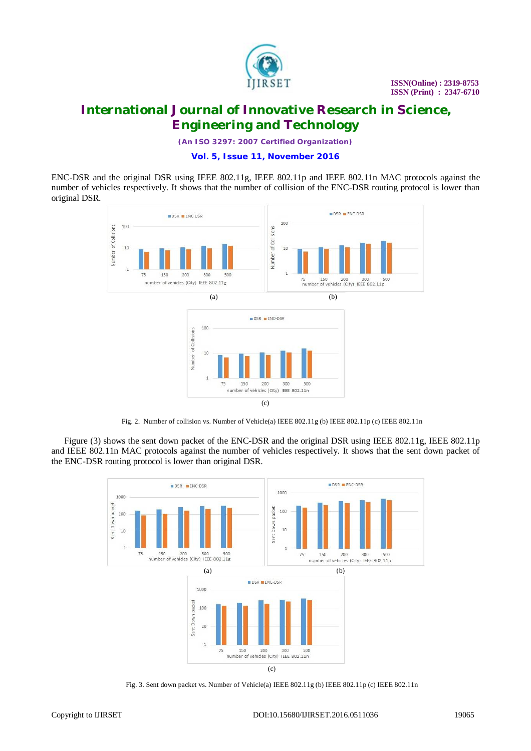

*(An ISO 3297: 2007 Certified Organization)*

**Vol. 5, Issue 11, November 2016**

ENC-DSR and the original DSR using IEEE 802.11g, IEEE 802.11p and IEEE 802.11n MAC protocols against the number of vehicles respectively. It shows that the number of collision of the ENC-DSR routing protocol is lower than original DSR.



Fig. 2. Number of collision vs. Number of Vehicle(a) IEEE 802.11g (b) IEEE 802.11p (c) IEEE 802.11n

Figure (3) shows the sent down packet of the ENC-DSR and the original DSR using IEEE 802.11g, IEEE 802.11p and IEEE 802.11n MAC protocols against the number of vehicles respectively. It shows that the sent down packet of the ENC-DSR routing protocol is lower than original DSR.



Fig. 3. Sent down packet vs. Number of Vehicle(a) IEEE 802.11g (b) IEEE 802.11p (c) IEEE 802.11n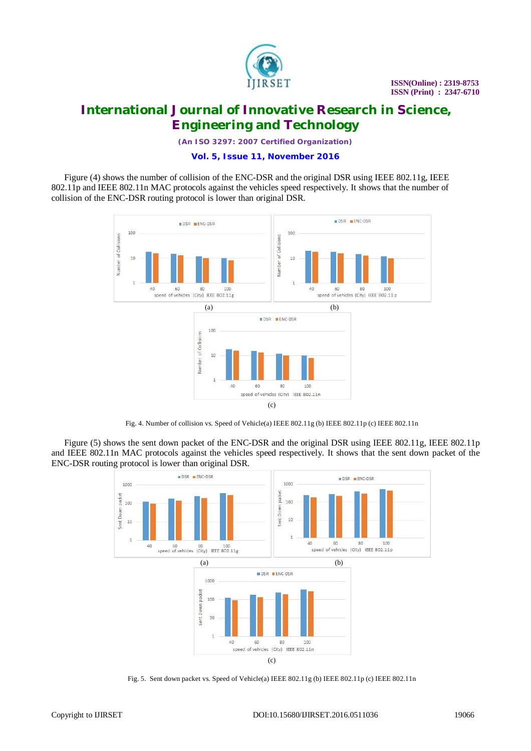

*(An ISO 3297: 2007 Certified Organization)*

### **Vol. 5, Issue 11, November 2016**

Figure (4) shows the number of collision of the ENC-DSR and the original DSR using IEEE 802.11g, IEEE 802.11p and IEEE 802.11n MAC protocols against the vehicles speed respectively. It shows that the number of collision of the ENC-DSR routing protocol is lower than original DSR.



Fig. 4. Number of collision vs. Speed of Vehicle(a) IEEE 802.11g (b) IEEE 802.11p (c) IEEE 802.11n

Figure (5) shows the sent down packet of the ENC-DSR and the original DSR using IEEE 802.11g, IEEE 802.11p and IEEE 802.11n MAC protocols against the vehicles speed respectively. It shows that the sent down packet of the ENC-DSR routing protocol is lower than original DSR.



Fig. 5. Sent down packet vs. Speed of Vehicle(a) IEEE 802.11g (b) IEEE 802.11p (c) IEEE 802.11n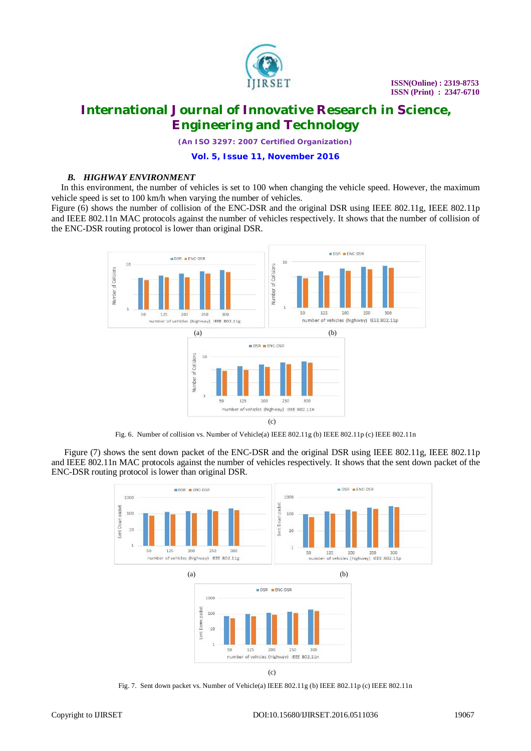

*(An ISO 3297: 2007 Certified Organization)*

**Vol. 5, Issue 11, November 2016**

### *B. HIGHWAY ENVIRONMENT*

In this environment, the number of vehicles is set to 100 when changing the vehicle speed. However, the maximum vehicle speed is set to 100 km/h when varying the number of vehicles.

Figure (6) shows the number of collision of the ENC-DSR and the original DSR using IEEE 802.11g, IEEE 802.11p and IEEE 802.11n MAC protocols against the number of vehicles respectively. It shows that the number of collision of the ENC-DSR routing protocol is lower than original DSR.



Fig. 6. Number of collision vs. Number of Vehicle(a) IEEE 802.11g (b) IEEE 802.11p (c) IEEE 802.11n

Figure (7) shows the sent down packet of the ENC-DSR and the original DSR using IEEE 802.11g, IEEE 802.11p and IEEE 802.11n MAC protocols against the number of vehicles respectively. It shows that the sent down packet of the ENC-DSR routing protocol is lower than original DSR.



Fig. 7. Sent down packet vs. Number of Vehicle(a) IEEE 802.11g (b) IEEE 802.11p (c) IEEE 802.11n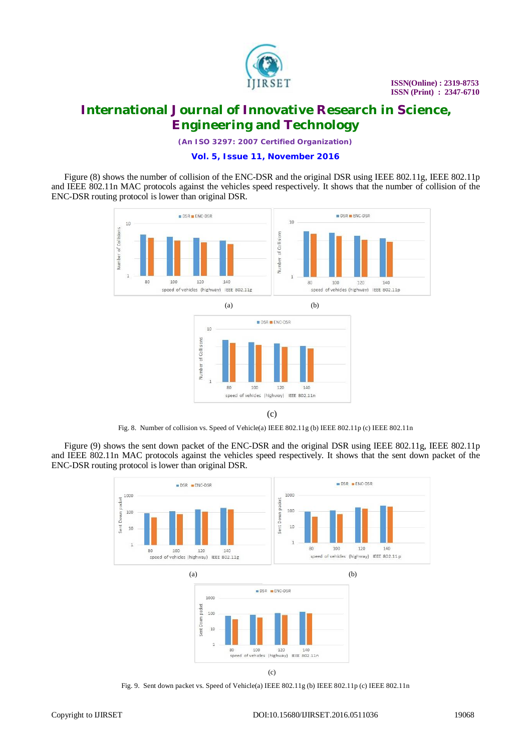

*(An ISO 3297: 2007 Certified Organization)*

#### **Vol. 5, Issue 11, November 2016**

Figure (8) shows the number of collision of the ENC-DSR and the original DSR using IEEE 802.11g, IEEE 802.11p and IEEE 802.11n MAC protocols against the vehicles speed respectively. It shows that the number of collision of the ENC-DSR routing protocol is lower than original DSR.



(c)

speed of vehicles (highway) IEEE 802.11n

 $120$ 

140

Fig. 8. Number of collision vs. Speed of Vehicle(a) IEEE 802.11g (b) IEEE 802.11p (c) IEEE 802.11n

100

80

Figure (9) shows the sent down packet of the ENC-DSR and the original DSR using IEEE 802.11g, IEEE 802.11p and IEEE 802.11n MAC protocols against the vehicles speed respectively. It shows that the sent down packet of the ENC-DSR routing protocol is lower than original DSR.



Fig. 9. Sent down packet vs. Speed of Vehicle(a) IEEE 802.11g (b) IEEE 802.11p (c) IEEE 802.11n